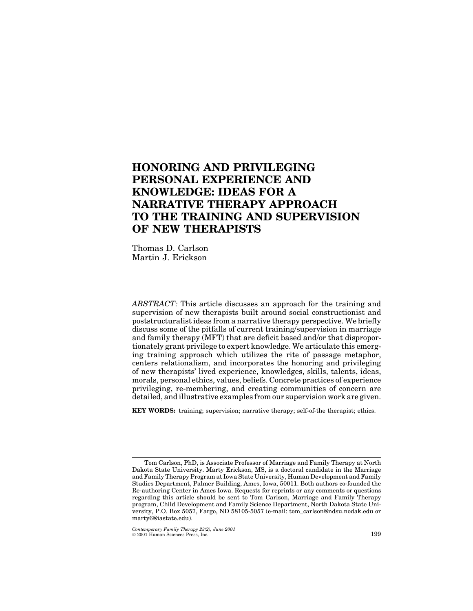# **HONORING AND PRIVILEGING PERSONAL EXPERIENCE AND KNOWLEDGE: IDEAS FOR A NARRATIVE THERAPY APPROACH TO THE TRAINING AND SUPERVISION OF NEW THERAPISTS**

Thomas D. Carlson Martin J. Erickson

*ABSTRACT:* This article discusses an approach for the training and supervision of new therapists built around social constructionist and poststructuralist ideas from a narrative therapy perspective. We briefly discuss some of the pitfalls of current training/supervision in marriage and family therapy (MFT) that are deficit based and/or that disproportionately grant privilege to expert knowledge. We articulate this emerging training approach which utilizes the rite of passage metaphor, centers relationalism, and incorporates the honoring and privileging of new therapists' lived experience, knowledges, skills, talents, ideas, morals, personal ethics, values, beliefs. Concrete practices of experience privileging, re-membering, and creating communities of concern are detailed, and illustrative examples from our supervision work are given.

**KEY WORDS:** training; supervision; narrative therapy; self-of-the therapist; ethics.

Tom Carlson, PhD, is Associate Professor of Marriage and Family Therapy at North Dakota State University. Marty Erickson, MS, is a doctoral candidate in the Marriage and Family Therapy Program at Iowa State University, Human Development and Family Studies Department, Palmer Building, Ames, Iowa, 50011. Both authors co-founded the Re-authoring Center in Ames Iowa. Requests for reprints or any comments or questions regarding this article should be sent to Tom Carlson, Marriage and Family Therapy program, Child Development and Family Science Department, North Dakota State University, P.O. Box 5057, Fargo, ND 58105-5057 (e-mail: tom\_carlson@ndsu.nodak.edu or marty6@iastate.edu).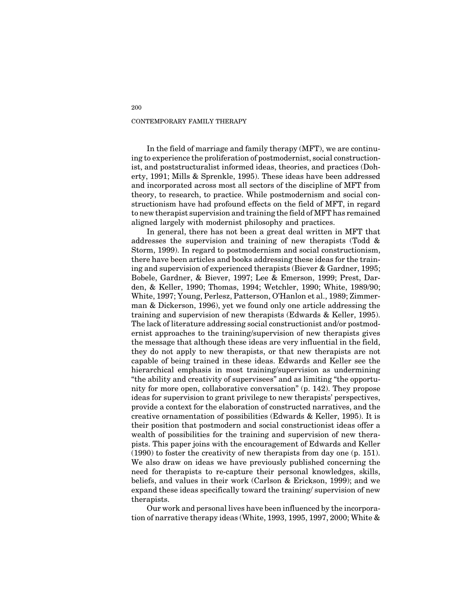In the field of marriage and family therapy (MFT), we are continuing to experience the proliferation of postmodernist, social constructionist, and poststructuralist informed ideas, theories, and practices (Doherty, 1991; Mills & Sprenkle, 1995). These ideas have been addressed and incorporated across most all sectors of the discipline of MFT from theory, to research, to practice. While postmodernism and social constructionism have had profound effects on the field of MFT, in regard to new therapist supervision and training the field of MFT has remained aligned largely with modernist philosophy and practices.

In general, there has not been a great deal written in MFT that addresses the supervision and training of new therapists (Todd & Storm, 1999). In regard to postmodernism and social constructionism, there have been articles and books addressing these ideas for the training and supervision of experienced therapists (Biever & Gardner, 1995; Bobele, Gardner, & Biever, 1997; Lee & Emerson, 1999; Prest, Darden, & Keller, 1990; Thomas, 1994; Wetchler, 1990; White, 1989/90; White, 1997; Young, Perlesz, Patterson, O'Hanlon et al., 1989; Zimmerman & Dickerson, 1996), yet we found only one article addressing the training and supervision of new therapists (Edwards & Keller, 1995). The lack of literature addressing social constructionist and/or postmodernist approaches to the training/supervision of new therapists gives the message that although these ideas are very influential in the field, they do not apply to new therapists, or that new therapists are not capable of being trained in these ideas. Edwards and Keller see the hierarchical emphasis in most training/supervision as undermining "the ability and creativity of supervisees" and as limiting "the opportunity for more open, collaborative conversation" (p. 142). They propose ideas for supervision to grant privilege to new therapists' perspectives, provide a context for the elaboration of constructed narratives, and the creative ornamentation of possibilities (Edwards & Keller, 1995). It is their position that postmodern and social constructionist ideas offer a wealth of possibilities for the training and supervision of new therapists. This paper joins with the encouragement of Edwards and Keller (1990) to foster the creativity of new therapists from day one (p. 151). We also draw on ideas we have previously published concerning the need for therapists to re-capture their personal knowledges, skills, beliefs, and values in their work (Carlson & Erickson, 1999); and we expand these ideas specifically toward the training/ supervision of new therapists.

Our work and personal lives have been influenced by the incorporation of narrative therapy ideas (White, 1993, 1995, 1997, 2000; White &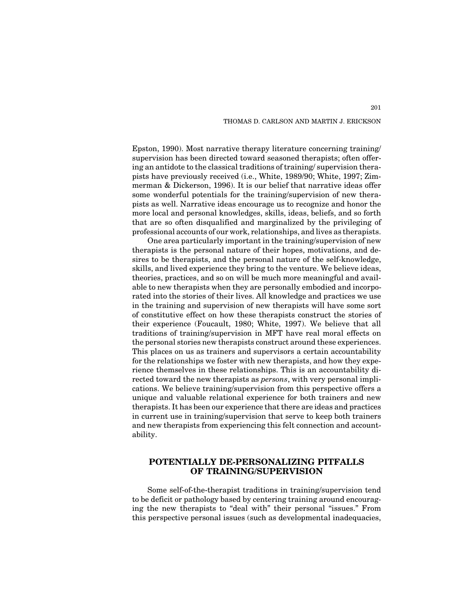201

Epston, 1990). Most narrative therapy literature concerning training/ supervision has been directed toward seasoned therapists; often offering an antidote to the classical traditions of training/ supervision therapists have previously received (i.e., White, 1989/90; White, 1997; Zimmerman & Dickerson, 1996). It is our belief that narrative ideas offer some wonderful potentials for the training/supervision of new therapists as well. Narrative ideas encourage us to recognize and honor the more local and personal knowledges, skills, ideas, beliefs, and so forth that are so often disqualified and marginalized by the privileging of professional accounts of our work, relationships, and lives as therapists.

One area particularly important in the training/supervision of new therapists is the personal nature of their hopes, motivations, and desires to be therapists, and the personal nature of the self-knowledge, skills, and lived experience they bring to the venture. We believe ideas, theories, practices, and so on will be much more meaningful and available to new therapists when they are personally embodied and incorporated into the stories of their lives. All knowledge and practices we use in the training and supervision of new therapists will have some sort of constitutive effect on how these therapists construct the stories of their experience (Foucault, 1980; White, 1997). We believe that all traditions of training/supervision in MFT have real moral effects on the personal stories new therapists construct around these experiences. This places on us as trainers and supervisors a certain accountability for the relationships we foster with new therapists, and how they experience themselves in these relationships. This is an accountability directed toward the new therapists as *persons*, with very personal implications. We believe training/supervision from this perspective offers a unique and valuable relational experience for both trainers and new therapists. It has been our experience that there are ideas and practices in current use in training/supervision that serve to keep both trainers and new therapists from experiencing this felt connection and accountability.

# **POTENTIALLY DE-PERSONALIZING PITFALLS OF TRAINING/SUPERVISION**

Some self-of-the-therapist traditions in training/supervision tend to be deficit or pathology based by centering training around encouraging the new therapists to "deal with" their personal "issues." From this perspective personal issues (such as developmental inadequacies,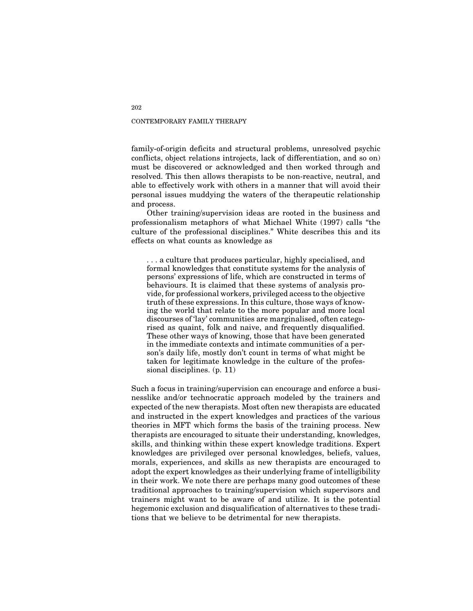family-of-origin deficits and structural problems, unresolved psychic conflicts, object relations introjects, lack of differentiation, and so on) must be discovered or acknowledged and then worked through and resolved. This then allows therapists to be non-reactive, neutral, and able to effectively work with others in a manner that will avoid their personal issues muddying the waters of the therapeutic relationship and process.

Other training/supervision ideas are rooted in the business and professionalism metaphors of what Michael White (1997) calls "the culture of the professional disciplines." White describes this and its effects on what counts as knowledge as

...a culture that produces particular, highly specialised, and formal knowledges that constitute systems for the analysis of persons' expressions of life, which are constructed in terms of behaviours. It is claimed that these systems of analysis provide, for professional workers, privileged access to the objective truth of these expressions. In this culture, those ways of knowing the world that relate to the more popular and more local discourses of 'lay' communities are marginalised, often categorised as quaint, folk and naive, and frequently disqualified. These other ways of knowing, those that have been generated in the immediate contexts and intimate communities of a person's daily life, mostly don't count in terms of what might be taken for legitimate knowledge in the culture of the professional disciplines. (p. 11)

Such a focus in training/supervision can encourage and enforce a businesslike and/or technocratic approach modeled by the trainers and expected of the new therapists. Most often new therapists are educated and instructed in the expert knowledges and practices of the various theories in MFT which forms the basis of the training process. New therapists are encouraged to situate their understanding, knowledges, skills, and thinking within these expert knowledge traditions. Expert knowledges are privileged over personal knowledges, beliefs, values, morals, experiences, and skills as new therapists are encouraged to adopt the expert knowledges as their underlying frame of intelligibility in their work. We note there are perhaps many good outcomes of these traditional approaches to training/supervision which supervisors and trainers might want to be aware of and utilize. It is the potential hegemonic exclusion and disqualification of alternatives to these traditions that we believe to be detrimental for new therapists.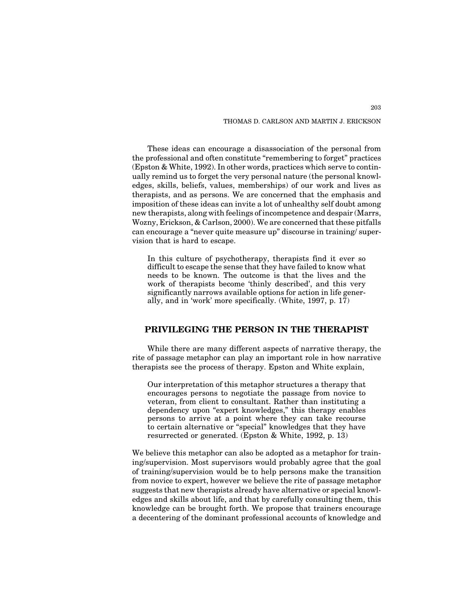These ideas can encourage a disassociation of the personal from the professional and often constitute "remembering to forget" practices (Epston & White, 1992). In other words, practices which serve to continually remind us to forget the very personal nature (the personal knowledges, skills, beliefs, values, memberships) of our work and lives as therapists, and as persons. We are concerned that the emphasis and imposition of these ideas can invite a lot of unhealthy self doubt among new therapists, along with feelings of incompetence and despair (Marrs, Wozny, Erickson, & Carlson, 2000). We are concerned that these pitfalls can encourage a "never quite measure up" discourse in training/ supervision that is hard to escape.

In this culture of psychotherapy, therapists find it ever so difficult to escape the sense that they have failed to know what needs to be known. The outcome is that the lives and the work of therapists become 'thinly described', and this very significantly narrows available options for action in life generally, and in 'work' more specifically. (White, 1997, p. 17)

## **PRIVILEGING THE PERSON IN THE THERAPIST**

While there are many different aspects of narrative therapy, the rite of passage metaphor can play an important role in how narrative therapists see the process of therapy. Epston and White explain,

Our interpretation of this metaphor structures a therapy that encourages persons to negotiate the passage from novice to veteran, from client to consultant. Rather than instituting a dependency upon "expert knowledges," this therapy enables persons to arrive at a point where they can take recourse to certain alternative or "special" knowledges that they have resurrected or generated. (Epston & White, 1992, p. 13)

We believe this metaphor can also be adopted as a metaphor for training/supervision. Most supervisors would probably agree that the goal of training/supervision would be to help persons make the transition from novice to expert, however we believe the rite of passage metaphor suggests that new therapists already have alternative or special knowledges and skills about life, and that by carefully consulting them, this knowledge can be brought forth. We propose that trainers encourage a decentering of the dominant professional accounts of knowledge and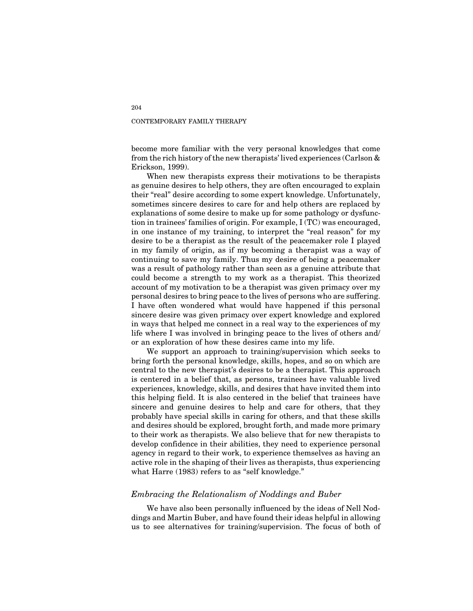become more familiar with the very personal knowledges that come from the rich history of the new therapists' lived experiences (Carlson & Erickson, 1999).

When new therapists express their motivations to be therapists as genuine desires to help others, they are often encouraged to explain their "real" desire according to some expert knowledge. Unfortunately, sometimes sincere desires to care for and help others are replaced by explanations of some desire to make up for some pathology or dysfunction in trainees' families of origin. For example, I (TC) was encouraged, in one instance of my training, to interpret the "real reason" for my desire to be a therapist as the result of the peacemaker role I played in my family of origin, as if my becoming a therapist was a way of continuing to save my family. Thus my desire of being a peacemaker was a result of pathology rather than seen as a genuine attribute that could become a strength to my work as a therapist. This theorized account of my motivation to be a therapist was given primacy over my personal desires to bring peace to the lives of persons who are suffering. I have often wondered what would have happened if this personal sincere desire was given primacy over expert knowledge and explored in ways that helped me connect in a real way to the experiences of my life where I was involved in bringing peace to the lives of others and/ or an exploration of how these desires came into my life.

We support an approach to training/supervision which seeks to bring forth the personal knowledge, skills, hopes, and so on which are central to the new therapist's desires to be a therapist. This approach is centered in a belief that, as persons, trainees have valuable lived experiences, knowledge, skills, and desires that have invited them into this helping field. It is also centered in the belief that trainees have sincere and genuine desires to help and care for others, that they probably have special skills in caring for others, and that these skills and desires should be explored, brought forth, and made more primary to their work as therapists. We also believe that for new therapists to develop confidence in their abilities, they need to experience personal agency in regard to their work, to experience themselves as having an active role in the shaping of their lives as therapists, thus experiencing what Harre (1983) refers to as "self knowledge."

# *Embracing the Relationalism of Noddings and Buber*

We have also been personally influenced by the ideas of Nell Noddings and Martin Buber, and have found their ideas helpful in allowing us to see alternatives for training/supervision. The focus of both of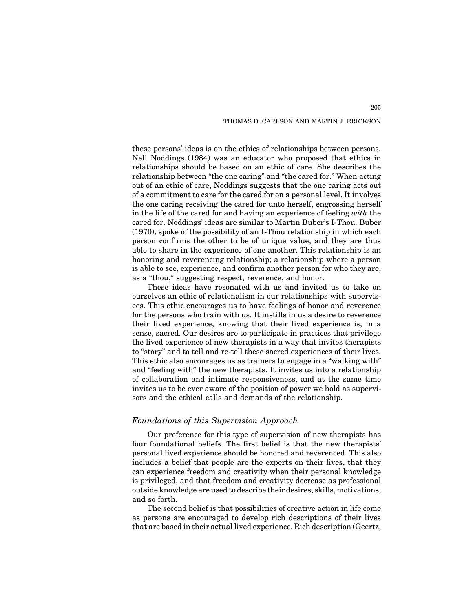these persons' ideas is on the ethics of relationships between persons. Nell Noddings (1984) was an educator who proposed that ethics in relationships should be based on an ethic of care. She describes the relationship between "the one caring" and "the cared for." When acting out of an ethic of care, Noddings suggests that the one caring acts out of a commitment to care for the cared for on a personal level. It involves the one caring receiving the cared for unto herself, engrossing herself in the life of the cared for and having an experience of feeling *with* the cared for. Noddings' ideas are similar to Martin Buber's I-Thou. Buber (1970), spoke of the possibility of an I-Thou relationship in which each person confirms the other to be of unique value, and they are thus able to share in the experience of one another. This relationship is an honoring and reverencing relationship; a relationship where a person is able to see, experience, and confirm another person for who they are, as a "thou," suggesting respect, reverence, and honor.

These ideas have resonated with us and invited us to take on ourselves an ethic of relationalism in our relationships with supervisees. This ethic encourages us to have feelings of honor and reverence for the persons who train with us. It instills in us a desire to reverence their lived experience, knowing that their lived experience is, in a sense, sacred. Our desires are to participate in practices that privilege the lived experience of new therapists in a way that invites therapists to "story" and to tell and re-tell these sacred experiences of their lives. This ethic also encourages us as trainers to engage in a "walking with" and "feeling with" the new therapists. It invites us into a relationship of collaboration and intimate responsiveness, and at the same time invites us to be ever aware of the position of power we hold as supervisors and the ethical calls and demands of the relationship.

# *Foundations of this Supervision Approach*

Our preference for this type of supervision of new therapists has four foundational beliefs. The first belief is that the new therapists' personal lived experience should be honored and reverenced. This also includes a belief that people are the experts on their lives, that they can experience freedom and creativity when their personal knowledge is privileged, and that freedom and creativity decrease as professional outside knowledge are used to describe their desires, skills, motivations, and so forth.

The second belief is that possibilities of creative action in life come as persons are encouraged to develop rich descriptions of their lives that are based in their actual lived experience. Rich description (Geertz,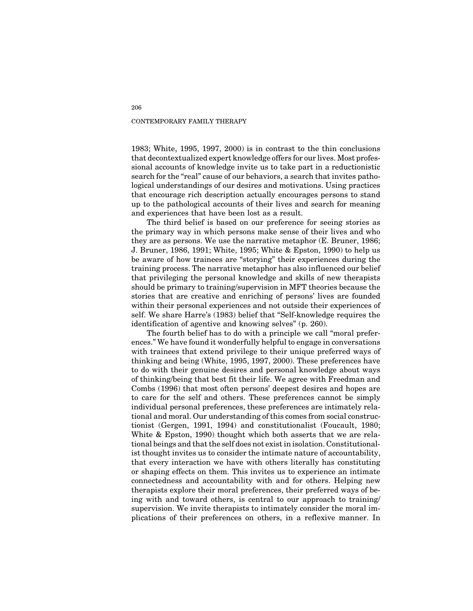1983; White, 1995, 1997, 2000) is in contrast to the thin conclusions that decontextualized expert knowledge offers for our lives. Most professional accounts of knowledge invite us to take part in a reductionistic search for the "real" cause of our behaviors, a search that invites pathological understandings of our desires and motivations. Using practices that encourage rich description actually encourages persons to stand up to the pathological accounts of their lives and search for meaning and experiences that have been lost as a result.

The third belief is based on our preference for seeing stories as the primary way in which persons make sense of their lives and who they are as persons. We use the narrative metaphor (E. Bruner, 1986; J. Bruner, 1986, 1991; White, 1995; White & Epston, 1990) to help us be aware of how trainees are "storying" their experiences during the training process. The narrative metaphor has also influenced our belief that privileging the personal knowledge and skills of new therapists should be primary to training/supervision in MFT theories because the stories that are creative and enriching of persons' lives are founded within their personal experiences and not outside their experiences of self. We share Harre's (1983) belief that "Self-knowledge requires the identification of agentive and knowing selves" (p. 260).

The fourth belief has to do with a principle we call "moral preferences." We have found it wonderfully helpful to engage in conversations with trainees that extend privilege to their unique preferred ways of thinking and being (White, 1995, 1997, 2000). These preferences have to do with their genuine desires and personal knowledge about ways of thinking/being that best fit their life. We agree with Freedman and Combs (1996) that most often persons' deepest desires and hopes are to care for the self and others. These preferences cannot be simply individual personal preferences, these preferences are intimately relational and moral. Our understanding of this comes from social constructionist (Gergen, 1991, 1994) and constitutionalist (Foucault, 1980; White & Epston, 1990) thought which both asserts that we are relational beings and that the self does not exist in isolation. Constitutionalist thought invites us to consider the intimate nature of accountability, that every interaction we have with others literally has constituting or shaping effects on them. This invites us to experience an intimate connectedness and accountability with and for others. Helping new therapists explore their moral preferences, their preferred ways of being with and toward others, is central to our approach to training/ supervision. We invite therapists to intimately consider the moral implications of their preferences on others, in a reflexive manner. In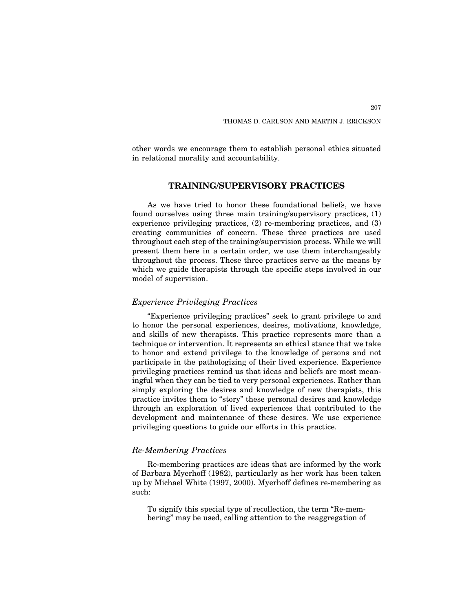other words we encourage them to establish personal ethics situated in relational morality and accountability.

# **TRAINING/SUPERVISORY PRACTICES**

As we have tried to honor these foundational beliefs, we have found ourselves using three main training/supervisory practices, (1) experience privileging practices, (2) re-membering practices, and (3) creating communities of concern. These three practices are used throughout each step of the training/supervision process. While we will present them here in a certain order, we use them interchangeably throughout the process. These three practices serve as the means by which we guide therapists through the specific steps involved in our model of supervision.

## *Experience Privileging Practices*

"Experience privileging practices" seek to grant privilege to and to honor the personal experiences, desires, motivations, knowledge, and skills of new therapists. This practice represents more than a technique or intervention. It represents an ethical stance that we take to honor and extend privilege to the knowledge of persons and not participate in the pathologizing of their lived experience. Experience privileging practices remind us that ideas and beliefs are most meaningful when they can be tied to very personal experiences. Rather than simply exploring the desires and knowledge of new therapists, this practice invites them to "story" these personal desires and knowledge through an exploration of lived experiences that contributed to the development and maintenance of these desires. We use experience privileging questions to guide our efforts in this practice.

# *Re-Membering Practices*

Re-membering practices are ideas that are informed by the work of Barbara Myerhoff (1982), particularly as her work has been taken up by Michael White (1997, 2000). Myerhoff defines re-membering as such:

To signify this special type of recollection, the term "Re-membering" may be used, calling attention to the reaggregation of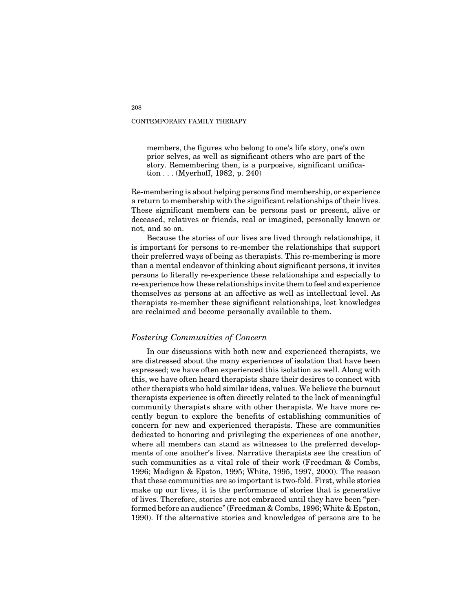members, the figures who belong to one's life story, one's own prior selves, as well as significant others who are part of the story. Remembering then, is a purposive, significant unification . . . (Myerhoff, 1982, p. 240)

Re-membering is about helping persons find membership, or experience a return to membership with the significant relationships of their lives. These significant members can be persons past or present, alive or deceased, relatives or friends, real or imagined, personally known or not, and so on.

Because the stories of our lives are lived through relationships, it is important for persons to re-member the relationships that support their preferred ways of being as therapists. This re-membering is more than a mental endeavor of thinking about significant persons, it invites persons to literally re-experience these relationships and especially to re-experience how these relationships invite them to feel and experience themselves as persons at an affective as well as intellectual level. As therapists re-member these significant relationships, lost knowledges are reclaimed and become personally available to them.

### *Fostering Communities of Concern*

In our discussions with both new and experienced therapists, we are distressed about the many experiences of isolation that have been expressed; we have often experienced this isolation as well. Along with this, we have often heard therapists share their desires to connect with other therapists who hold similar ideas, values. We believe the burnout therapists experience is often directly related to the lack of meaningful community therapists share with other therapists. We have more recently begun to explore the benefits of establishing communities of concern for new and experienced therapists. These are communities dedicated to honoring and privileging the experiences of one another, where all members can stand as witnesses to the preferred developments of one another's lives. Narrative therapists see the creation of such communities as a vital role of their work (Freedman & Combs, 1996; Madigan & Epston, 1995; White, 1995, 1997, 2000). The reason that these communities are so important is two-fold. First, while stories make up our lives, it is the performance of stories that is generative of lives. Therefore, stories are not embraced until they have been "performed before an audience" (Freedman & Combs, 1996; White & Epston, 1990). If the alternative stories and knowledges of persons are to be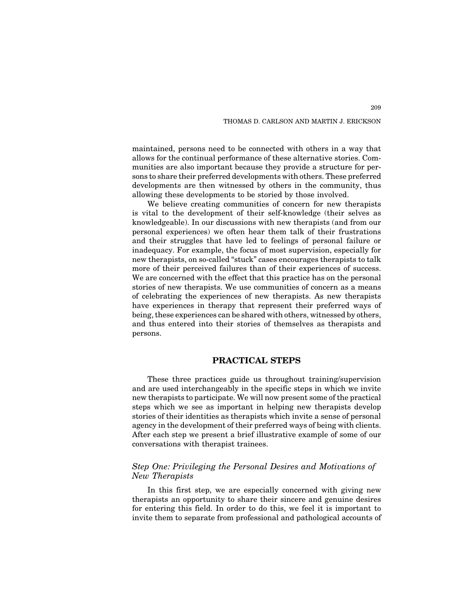maintained, persons need to be connected with others in a way that allows for the continual performance of these alternative stories. Communities are also important because they provide a structure for persons to share their preferred developments with others. These preferred developments are then witnessed by others in the community, thus allowing these developments to be storied by those involved.

We believe creating communities of concern for new therapists is vital to the development of their self-knowledge (their selves as knowledgeable). In our discussions with new therapists (and from our personal experiences) we often hear them talk of their frustrations and their struggles that have led to feelings of personal failure or inadequacy. For example, the focus of most supervision, especially for new therapists, on so-called "stuck" cases encourages therapists to talk more of their perceived failures than of their experiences of success. We are concerned with the effect that this practice has on the personal stories of new therapists. We use communities of concern as a means of celebrating the experiences of new therapists. As new therapists have experiences in therapy that represent their preferred ways of being, these experiences can be shared with others, witnessed by others, and thus entered into their stories of themselves as therapists and persons.

# **PRACTICAL STEPS**

These three practices guide us throughout training/supervision and are used interchangeably in the specific steps in which we invite new therapists to participate. We will now present some of the practical steps which we see as important in helping new therapists develop stories of their identities as therapists which invite a sense of personal agency in the development of their preferred ways of being with clients. After each step we present a brief illustrative example of some of our conversations with therapist trainees.

# *Step One: Privileging the Personal Desires and Motivations of New Therapists*

In this first step, we are especially concerned with giving new therapists an opportunity to share their sincere and genuine desires for entering this field. In order to do this, we feel it is important to invite them to separate from professional and pathological accounts of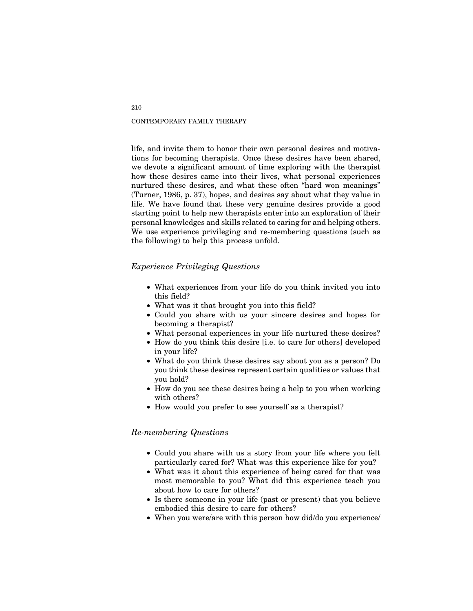life, and invite them to honor their own personal desires and motivations for becoming therapists. Once these desires have been shared, we devote a significant amount of time exploring with the therapist how these desires came into their lives, what personal experiences nurtured these desires, and what these often "hard won meanings" (Turner, 1986, p. 37), hopes, and desires say about what they value in life. We have found that these very genuine desires provide a good starting point to help new therapists enter into an exploration of their personal knowledges and skills related to caring for and helping others. We use experience privileging and re-membering questions (such as the following) to help this process unfold.

# *Experience Privileging Questions*

- What experiences from your life do you think invited you into this field?
- What was it that brought you into this field?
- Could you share with us your sincere desires and hopes for becoming a therapist?
- What personal experiences in your life nurtured these desires?
- How do you think this desire [i.e. to care for others] developed in your life?
- What do you think these desires say about you as a person? Do you think these desires represent certain qualities or values that you hold?
- How do you see these desires being a help to you when working with others?
- How would you prefer to see yourself as a therapist?

# *Re-membering Questions*

- Could you share with us a story from your life where you felt particularly cared for? What was this experience like for you?
- What was it about this experience of being cared for that was most memorable to you? What did this experience teach you about how to care for others?
- Is there someone in your life (past or present) that you believe embodied this desire to care for others?
- When you were/are with this person how did/do you experience/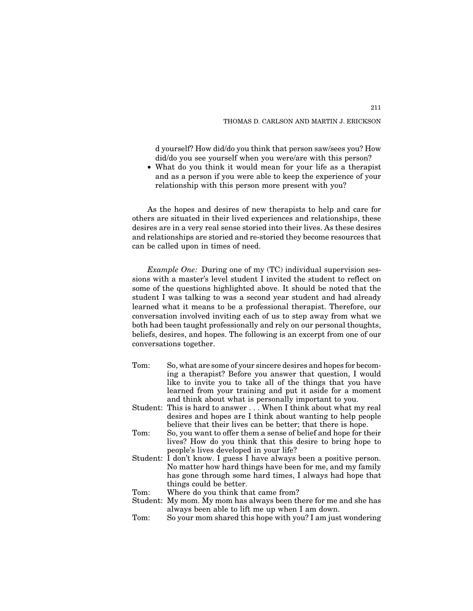211

d yourself? How did/do you think that person saw/sees you? How did/do you see yourself when you were/are with this person?

• What do you think it would mean for your life as a therapist and as a person if you were able to keep the experience of your relationship with this person more present with you?

As the hopes and desires of new therapists to help and care for others are situated in their lived experiences and relationships, these desires are in a very real sense storied into their lives. As these desires and relationships are storied and re-storied they become resources that can be called upon in times of need.

*Example One:* During one of my (TC) individual supervision sessions with a master's level student I invited the student to reflect on some of the questions highlighted above. It should be noted that the student I was talking to was a second year student and had already learned what it means to be a professional therapist. Therefore, our conversation involved inviting each of us to step away from what we both had been taught professionally and rely on our personal thoughts, beliefs, desires, and hopes. The following is an excerpt from one of our conversations together.

- Tom: So, what are some of your sincere desires and hopes for becoming a therapist? Before you answer that question, I would like to invite you to take all of the things that you have learned from your training and put it aside for a moment and think about what is personally important to you.
- Student: This is hard to answer... When I think about what my real desires and hopes are I think about wanting to help people believe that their lives can be better; that there is hope.
- Tom: So, you want to offer them a sense of belief and hope for their lives? How do you think that this desire to bring hope to people's lives developed in your life?
- Student: I don't know. I guess I have always been a positive person. No matter how hard things have been for me, and my family has gone through some hard times, I always had hope that things could be better.
- Tom: Where do you think that came from?
- Student: My mom. My mom has always been there for me and she has always been able to lift me up when I am down.
- Tom: So your mom shared this hope with you? I am just wondering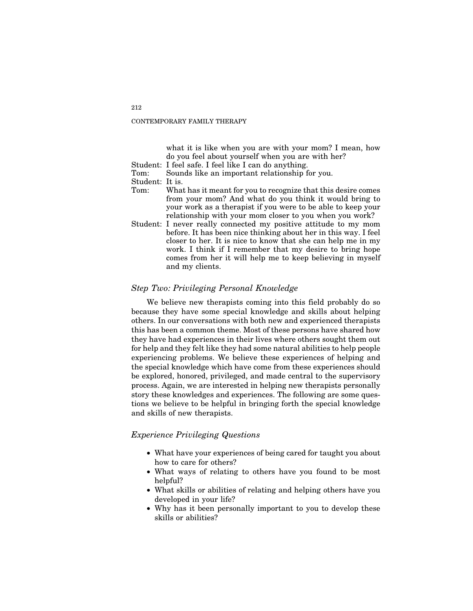what it is like when you are with your mom? I mean, how do you feel about yourself when you are with her?

Student: I feel safe. I feel like I can do anything.

Sounds like an important relationship for you.

Student: It is.<br>Tom: Wha

- What has it meant for you to recognize that this desire comes from your mom? And what do you think it would bring to your work as a therapist if you were to be able to keep your relationship with your mom closer to you when you work?
- Student: I never really connected my positive attitude to my mom before. It has been nice thinking about her in this way. I feel closer to her. It is nice to know that she can help me in my work. I think if I remember that my desire to bring hope comes from her it will help me to keep believing in myself and my clients.

# *Step Two: Privileging Personal Knowledge*

We believe new therapists coming into this field probably do so because they have some special knowledge and skills about helping others. In our conversations with both new and experienced therapists this has been a common theme. Most of these persons have shared how they have had experiences in their lives where others sought them out for help and they felt like they had some natural abilities to help people experiencing problems. We believe these experiences of helping and the special knowledge which have come from these experiences should be explored, honored, privileged, and made central to the supervisory process. Again, we are interested in helping new therapists personally story these knowledges and experiences. The following are some questions we believe to be helpful in bringing forth the special knowledge and skills of new therapists.

## *Experience Privileging Questions*

- What have your experiences of being cared for taught you about how to care for others?
- What ways of relating to others have you found to be most helpful?
- What skills or abilities of relating and helping others have you developed in your life?
- Why has it been personally important to you to develop these skills or abilities?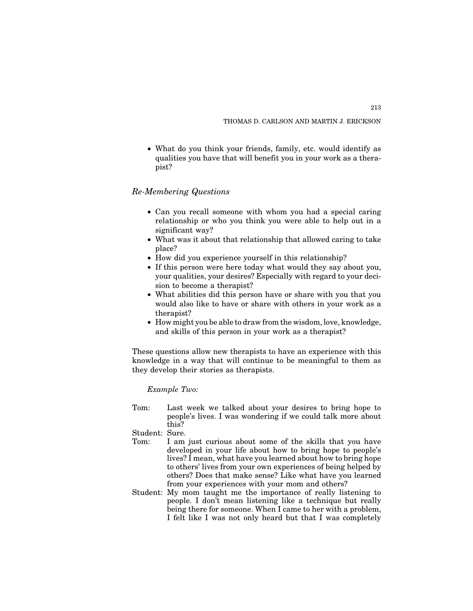• What do you think your friends, family, etc. would identify as qualities you have that will benefit you in your work as a therapist?

# *Re-Membering Questions*

- Can you recall someone with whom you had a special caring relationship or who you think you were able to help out in a significant way?
- What was it about that relationship that allowed caring to take place?
- How did you experience yourself in this relationship?
- If this person were here today what would they say about you, your qualities, your desires? Especially with regard to your decision to become a therapist?
- What abilities did this person have or share with you that you would also like to have or share with others in your work as a therapist?
- How might you be able to draw from the wisdom, love, knowledge, and skills of this person in your work as a therapist?

These questions allow new therapists to have an experience with this knowledge in a way that will continue to be meaningful to them as they develop their stories as therapists.

### *Example Two:*

Tom: Last week we talked about your desires to bring hope to people's lives. I was wondering if we could talk more about this?

Student: Sure.

- Tom: I am just curious about some of the skills that you have developed in your life about how to bring hope to people's lives? I mean, what have you learned about how to bring hope to others' lives from your own experiences of being helped by others? Does that make sense? Like what have you learned from your experiences with your mom and others?
- Student: My mom taught me the importance of really listening to people. I don't mean listening like a technique but really being there for someone. When I came to her with a problem, I felt like I was not only heard but that I was completely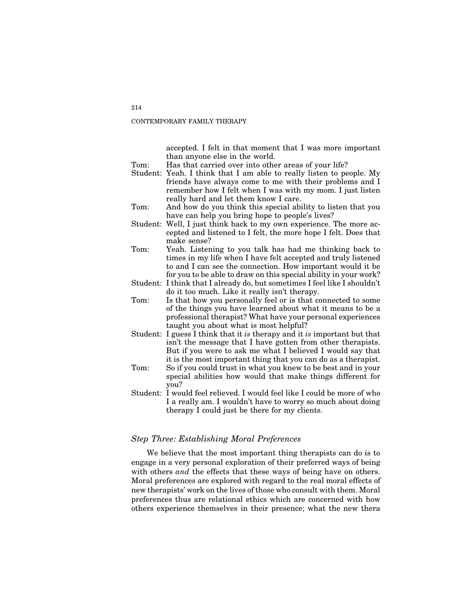|      | accepted. I felt in that moment that I was more important<br>than anyone else in the world.                                                                                                   |
|------|-----------------------------------------------------------------------------------------------------------------------------------------------------------------------------------------------|
| Tom: | Has that carried over into other areas of your life?                                                                                                                                          |
|      | Student: Yeah. I think that I am able to really listen to people. My<br>friends have always come to me with their problems and I<br>remember how I felt when I was with my mom. I just listen |
|      | really hard and let them know I care.                                                                                                                                                         |
| Tom: | And how do you think this special ability to listen that you<br>have can help you bring hope to people's lives?                                                                               |
|      | Student: Well, I just think back to my own experience. The more ac-                                                                                                                           |
|      | cepted and listened to I felt, the more hope I felt. Does that<br>make sense?                                                                                                                 |
| Tom: | Yeah. Listening to you talk has had me thinking back to                                                                                                                                       |
|      | times in my life when I have felt accepted and truly listened                                                                                                                                 |
|      | to and I can see the connection. How important would it be                                                                                                                                    |
|      | for you to be able to draw on this special ability in your work?                                                                                                                              |
|      | Student: I think that I already do, but sometimes I feel like I shouldn't                                                                                                                     |
| Tom: | do it too much. Like it really isn't therapy.<br>Is that how you personally feel or is that connected to some                                                                                 |
|      | of the things you have learned about what it means to be a<br>professional therapist? What have your personal experiences                                                                     |
|      | taught you about what is most helpful?                                                                                                                                                        |
|      | Student: I guess I think that it is therapy and it is important but that                                                                                                                      |
|      | isn't the message that I have gotten from other therapists.<br>But if you were to ask me what I believed I would say that                                                                     |
|      | it is the most important thing that you can do as a therapist.                                                                                                                                |
| Tom: | So if you could trust in what you knew to be best and in your                                                                                                                                 |
|      | special abilities how would that make things different for                                                                                                                                    |
|      | you?                                                                                                                                                                                          |
|      | Student: I would feel relieved. I would feel like I could be more of who                                                                                                                      |
|      | I a really am. I wouldn't have to worry so much about doing<br>therapy I could just be there for my clients.                                                                                  |

# *Step Three: Establishing Moral Preferences*

We believe that the most important thing therapists can do is to engage in a very personal exploration of their preferred ways of being with others *and* the effects that these ways of being have on others. Moral preferences are explored with regard to the real moral effects of new therapists' work on the lives of those who consult with them. Moral preferences thus are relational ethics which are concerned with how others experience themselves in their presence; what the new thera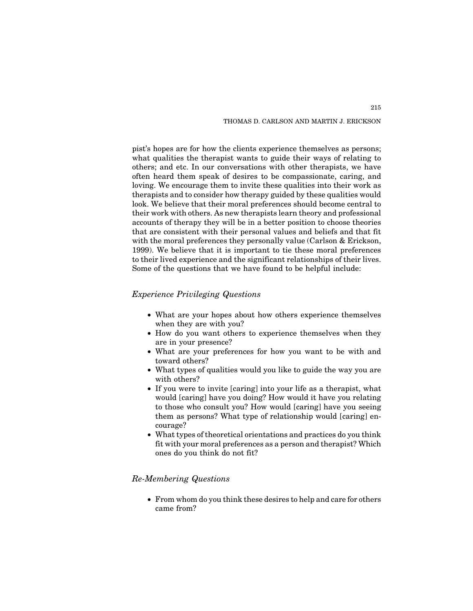215

pist's hopes are for how the clients experience themselves as persons; what qualities the therapist wants to guide their ways of relating to others; and etc. In our conversations with other therapists, we have often heard them speak of desires to be compassionate, caring, and loving. We encourage them to invite these qualities into their work as therapists and to consider how therapy guided by these qualities would look. We believe that their moral preferences should become central to their work with others. As new therapists learn theory and professional accounts of therapy they will be in a better position to choose theories that are consistent with their personal values and beliefs and that fit with the moral preferences they personally value (Carlson & Erickson, 1999). We believe that it is important to tie these moral preferences to their lived experience and the significant relationships of their lives. Some of the questions that we have found to be helpful include:

# *Experience Privileging Questions*

- What are your hopes about how others experience themselves when they are with you?
- How do you want others to experience themselves when they are in your presence?
- What are your preferences for how you want to be with and toward others?
- What types of qualities would you like to guide the way you are with others?
- If you were to invite [caring] into your life as a therapist, what would [caring] have you doing? How would it have you relating to those who consult you? How would [caring] have you seeing them as persons? What type of relationship would [caring] encourage?
- What types of theoretical orientations and practices do you think fit with your moral preferences as a person and therapist? Which ones do you think do not fit?

# *Re-Membering Questions*

• From whom do you think these desires to help and care for others came from?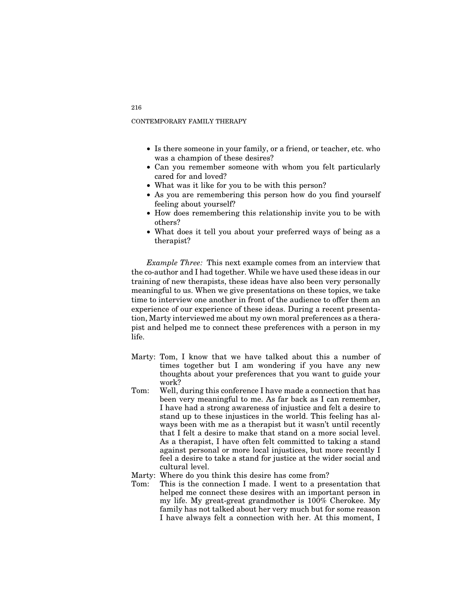- Is there someone in your family, or a friend, or teacher, etc. who was a champion of these desires?
- Can you remember someone with whom you felt particularly cared for and loved?
- What was it like for you to be with this person?
- As you are remembering this person how do you find yourself feeling about yourself?
- How does remembering this relationship invite you to be with others?
- What does it tell you about your preferred ways of being as a therapist?

*Example Three:* This next example comes from an interview that the co-author and I had together. While we have used these ideas in our training of new therapists, these ideas have also been very personally meaningful to us. When we give presentations on these topics, we take time to interview one another in front of the audience to offer them an experience of our experience of these ideas. During a recent presentation, Marty interviewed me about my own moral preferences as a therapist and helped me to connect these preferences with a person in my life.

- Marty: Tom, I know that we have talked about this a number of times together but I am wondering if you have any new thoughts about your preferences that you want to guide your work?
- Tom: Well, during this conference I have made a connection that has been very meaningful to me. As far back as I can remember, I have had a strong awareness of injustice and felt a desire to stand up to these injustices in the world. This feeling has always been with me as a therapist but it wasn't until recently that I felt a desire to make that stand on a more social level. As a therapist, I have often felt committed to taking a stand against personal or more local injustices, but more recently I feel a desire to take a stand for justice at the wider social and cultural level.

Marty: Where do you think this desire has come from?

Tom: This is the connection I made. I went to a presentation that helped me connect these desires with an important person in my life. My great-great grandmother is 100% Cherokee. My family has not talked about her very much but for some reason I have always felt a connection with her. At this moment, I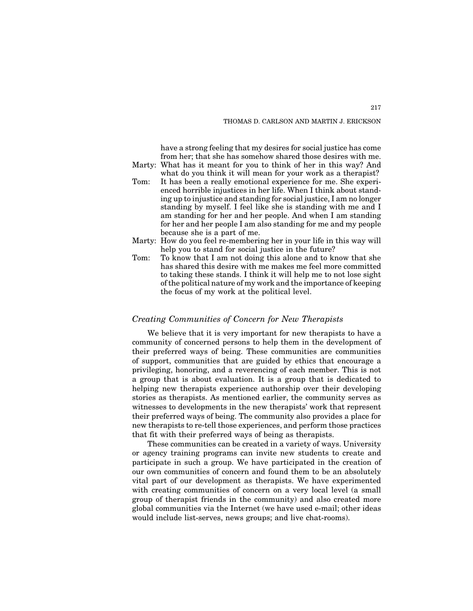have a strong feeling that my desires for social justice has come from her; that she has somehow shared those desires with me. Marty: What has it meant for you to think of her in this way? And

- what do you think it will mean for your work as a therapist?
- Tom: It has been a really emotional experience for me. She experienced horrible injustices in her life. When I think about standing up to injustice and standing for social justice, I am no longer standing by myself. I feel like she is standing with me and I am standing for her and her people. And when I am standing for her and her people I am also standing for me and my people because she is a part of me.
- Marty: How do you feel re-membering her in your life in this way will help you to stand for social justice in the future?
- Tom: To know that I am not doing this alone and to know that she has shared this desire with me makes me feel more committed to taking these stands. I think it will help me to not lose sight of the political nature of my work and the importance of keeping the focus of my work at the political level.

# *Creating Communities of Concern for New Therapists*

We believe that it is very important for new therapists to have a community of concerned persons to help them in the development of their preferred ways of being. These communities are communities of support, communities that are guided by ethics that encourage a privileging, honoring, and a reverencing of each member. This is not a group that is about evaluation. It is a group that is dedicated to helping new therapists experience authorship over their developing stories as therapists. As mentioned earlier, the community serves as witnesses to developments in the new therapists' work that represent their preferred ways of being. The community also provides a place for new therapists to re-tell those experiences, and perform those practices that fit with their preferred ways of being as therapists.

These communities can be created in a variety of ways. University or agency training programs can invite new students to create and participate in such a group. We have participated in the creation of our own communities of concern and found them to be an absolutely vital part of our development as therapists. We have experimented with creating communities of concern on a very local level (a small group of therapist friends in the community) and also created more global communities via the Internet (we have used e-mail; other ideas would include list-serves, news groups; and live chat-rooms).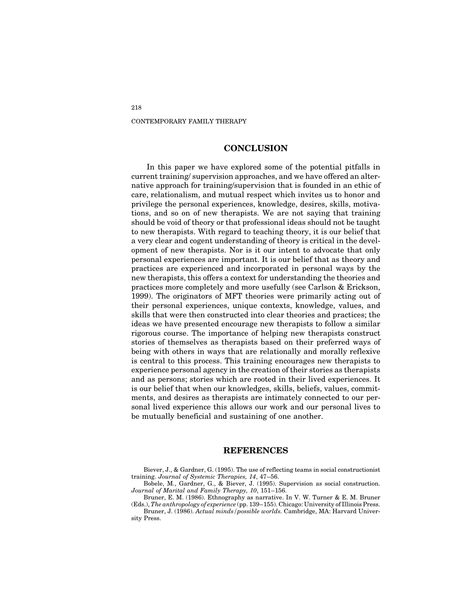# **CONCLUSION**

In this paper we have explored some of the potential pitfalls in current training/ supervision approaches, and we have offered an alternative approach for training/supervision that is founded in an ethic of care, relationalism, and mutual respect which invites us to honor and privilege the personal experiences, knowledge, desires, skills, motivations, and so on of new therapists. We are not saying that training should be void of theory or that professional ideas should not be taught to new therapists. With regard to teaching theory, it is our belief that a very clear and cogent understanding of theory is critical in the development of new therapists. Nor is it our intent to advocate that only personal experiences are important. It is our belief that as theory and practices are experienced and incorporated in personal ways by the new therapists, this offers a context for understanding the theories and practices more completely and more usefully (see Carlson & Erickson, 1999). The originators of MFT theories were primarily acting out of their personal experiences, unique contexts, knowledge, values, and skills that were then constructed into clear theories and practices; the ideas we have presented encourage new therapists to follow a similar rigorous course. The importance of helping new therapists construct stories of themselves as therapists based on their preferred ways of being with others in ways that are relationally and morally reflexive is central to this process. This training encourages new therapists to experience personal agency in the creation of their stories as therapists and as persons; stories which are rooted in their lived experiences. It is our belief that when our knowledges, skills, beliefs, values, commitments, and desires as therapists are intimately connected to our personal lived experience this allows our work and our personal lives to be mutually beneficial and sustaining of one another.

### **REFERENCES**

Biever, J., & Gardner, G. (1995). The use of reflecting teams in social constructionist training. *Journal of Systemic Therapies, 14*, 47–56.

Bobele, M., Gardner, G., & Biever, J. (1995). Supervision as social construction. *Journal of Marital and Family Therapy, 10*, 151–156.

Bruner, E. M. (1986). Ethnography as narrative. In V. W. Turner & E. M. Bruner (Eds.), *The anthropology of experience* (pp. 139–155). Chicago: University of Illinois Press.

Bruner, J. (1986). *Actual minds/possible worlds.* Cambridge, MA: Harvard University Press.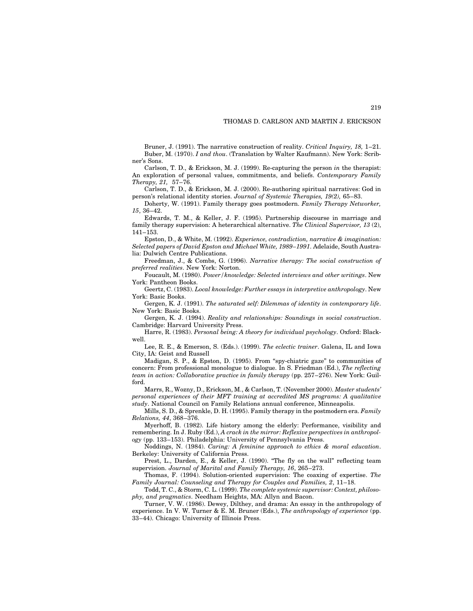Bruner, J. (1991). The narrative construction of reality. *Critical Inquiry, 18,* 1–21. Buber, M. (1970). *I and thou*. (Translation by Walter Kaufmann). New York: Scribner's Sons.

Carlson, T. D., & Erickson, M. J. (1999). Re-capturing the person *in* the therapist: An exploration of personal values, commitments, and beliefs. *Contemporary Family Therapy, 21,* 57–76.

Carlson, T. D., & Erickson, M. J. (2000). Re-authoring spiritual narratives: God in person's relational identity stories. *Journal of Systemic Therapies, 19(2),* 65–83.

Doherty, W. (1991). Family therapy goes postmodern. *Family Therapy Networker, 15*, 36–42.

Edwards, T. M., & Keller, J. F. (1995). Partnership discourse in marriage and family therapy supervision: A heterarchical alternative. *The Clinical Supervisor, 13* (2), 141–153.

Epston, D., & White, M. (1992). *Experience, contradiction, narrative & imagination: Selected papers of David Epston and Michael White, 1989–1991*. Adelaide, South Australia: Dulwich Centre Publications.

Freedman, J., & Combs, G. (1996). *Narrative therapy: The social construction of preferred realities*. New York: Norton.

Foucault, M. (1980). *Power/knowledge: Selected interviews and other writings*. New York: Pantheon Books.

Geertz, C. (1983). *Local knowledge: Further essays in interpretive anthropology*. New York: Basic Books.

Gergen, K. J. (1991). *The saturated self: Dilemmas of identity in contemporary life*. New York: Basic Books.

Gergen, K. J. (1994). *Reality and relationships: Soundings in social construction*. Cambridge: Harvard University Press.

Harre, R. (1983). *Personal being: A theory for individual psychology*. Oxford: Blackwell.

Lee, R. E., & Emerson, S. (Eds.). (1999). *The eclectic trainer*. Galena, IL and Iowa City, IA: Geist and Russell

Madigan, S. P., & Epston, D. (1995). From "spy-chiatric gaze" to communities of concern: From professional monologue to dialogue. In S. Friedman (Ed.), *The reflecting team in action: Collaborative practice in family therapy* (pp. 257–276). New York: Guilford.

Marrs, R., Wozny, D., Erickson, M., & Carlson, T. (November 2000). *Master students' personal experiences of their MFT training at accredited MS programs: A qualitative study*. National Council on Family Relations annual conference, Minneapolis.

Mills, S. D., & Sprenkle, D. H. (1995). Family therapy in the postmodern era. *Family Relations, 44*, 368–376.

Myerhoff, B. (1982). Life history among the elderly: Performance, visibility and remembering. In J. Ruby (Ed.), *A crack in the mirror: Reflexive perspectives in anthropology* (pp. 133–153). Philadelphia: University of Pennsylvania Press.

Noddings, N. (1984). *Caring: A feminine approach to ethics & moral education*. Berkeley: University of California Press.

Prest, L., Darden, E., & Keller, J. (1990). "The fly on the wall" reflecting team supervision. *Journal of Marital and Family Therapy, 16*, 265–273.

Thomas, F. (1994). Solution-oriented supervision: The coaxing of expertise. *The Family Journal: Counseling and Therapy for Couples and Families, 2*, 11–18.

Todd, T. C., & Storm, C. L. (1999). *The complete systemic supervisor: Context, philosophy, and pragmatics*. Needham Heights, MA: Allyn and Bacon.

Turner, V. W. (1986). Dewey, Dilthey, and drama: An essay in the anthropology of experience. In V. W. Turner & E. M. Bruner (Eds.), *The anthropology of experience* (pp. 33–44). Chicago: University of Illinois Press.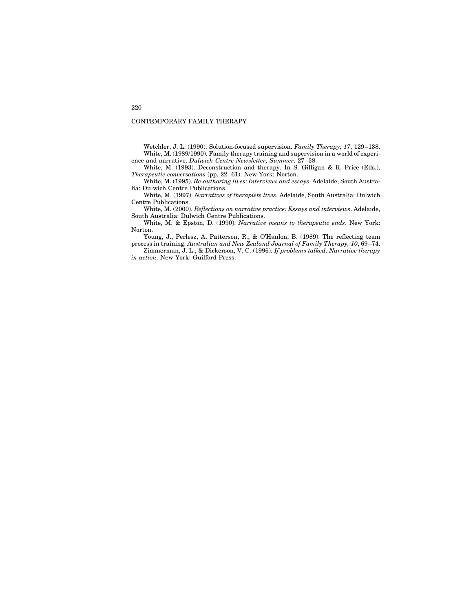Wetchler, J. L. (1990). Solution-focused supervision. *Family Therapy, 17*, 129–138. White, M. (1989/1990). Family therapy training and supervision in a world of experience and narrative. *Dulwich Centre Newsletter, Summer,* 27–38.

White, M. (1993). Deconstruction and therapy. In S. Gilligan & R. Price (Eds.), *Therapeutic conversations* (pp. 22–61). New York: Norton.

White, M. (1995). *Re-authoring lives: Interviews and essays*. Adelaide, South Australia: Dulwich Centre Publications.

White, M. (1997). *Narratives of therapists lives*. Adelaide, South Australia: Dulwich Centre Publications.

White, M. (2000). *Reflections on narrative practice: Essays and interviews*. Adelaide, South Australia: Dulwich Centre Publications.

White, M. & Epston, D. (1990). *Narrative means to therapeutic ends*. New York: Norton.

Young, J., Perlesz, A, Patterson, R., & O'Hanlon, B. (1989). The reflecting team process in training. *Australian and New Zealand Journal of Family Therapy, 10*, 69–74.

Zimmerman, J. L., & Dickerson, V. C. (1996). *If problems talked: Narrative therapy in action*. New York: Guilford Press.